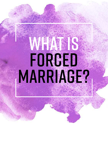# WHAT IS FORCED MARRIAGE?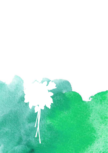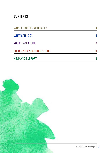### **Contents**

| <b>WHAT IS FORCED MARRIAGE?</b>   |    |
|-----------------------------------|----|
| <b>WHAT CAN I DO?</b>             | 6  |
| <b>YOU'RE NOT ALONE</b>           | 8  |
| <b>FREQUENTLY ASKED QUESTIONS</b> | 14 |
| <b>HELP AND SUPPORT</b>           | 18 |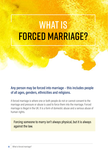# <span id="page-3-0"></span>WHAT IS FORCED MARRIAGE?

### Any person may be forced into marriage – this includes people of all ages, genders, ethnicities and religions.

A forced marriage is where one or both people do not or cannot consent to the marriage and pressure or abuse is used to force them into the marriage. Forced marriage is illegal in the UK. It is a form of domestic abuse and a serious abuse of human rights.

Forcing someone to marry isn't always physical, but it is always against the law.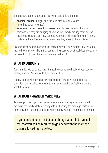The pressure put on a person to marry can take different forms:

- **physical pressure** might take the form of threats or violence (including sexual violence)
- **emotional or psychological pressure** might take the form of making someone feel they are bringing shame on their family, making them believe that those close to them may become vulnerable to illness if they don't marry, or denying them freedom or money unless they agree to the marriage

In some cases people may be taken abroad without knowing that they are to be married. When they arrive in that country, their passport(s)/travel documents may be taken to try to stop them from returning to the UK.

### **What is consent?**

For a marriage to be consensual, it must be entered into freely by both people getting married. You should feel you have a choice.

Legally, people with certain learning disabilities or severe mental health conditions are not able to consent to marriage, even if they feel the marriage is what they want.

### **What is an arranged marriage?**

An arranged marriage is not the same as a forced marriage. In an arranged marriage, the families take a leading role in choosing the marriage partner, but both individuals are free to choose whether they want to enter into the marriage.

If you consent to marry, but later change your mind – yet still feel that you will be required to go ahead with the marriage – that is a forced marriage too.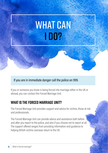# <span id="page-5-0"></span>WHAT CAN I DO?

### If you are in immediate danger call the police on 999.

If you or someone you know is being forced into marriage either in the UK or abroad, you can contact the Forced Marriage Unit.

### **What is the Forced Marriage Unit?**

The Forced Marriage Unit provides support and advice for victims, those at risk and professionals.

The Forced Marriage Unit can provide advice and assistance both before and after you report to the police, and also if you choose not to report at all. The support offered ranges from providing information and guidance to helping British victims overseas return to the UK.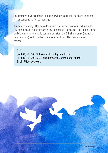Caseworkers have experience in dealing with the cultural, social and emotional issues surrounding forced marriage.

The Forced Marriage Unit can offer advice and support to anyone who is in the UK, regardless of nationality. Overseas, our British Embassies, High Commissions and Consulates can provide consular assistance to British nationals (including dual nationals), and in certain circumstances to an EU or Commonwealth national.

Call:

(+44) (0) 207 008 0151 Monday to Friday 9am to 5pm (+44) (0) 207 008 1500 Global Response Centre (out of hours) Email: FMU@fco.gov.uk

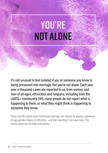# <span id="page-7-0"></span>YOU'RE NOT ALONE

It's not unusual to feel isolated if you or someone you know is being pressured into marriage. But you're not alone. Each year, over a thousand cases are reported to us, from women and men of all ages, ethnicities and religions, including from the LGBTQ+ community. Still, many people do not report what is happening to them, or what they might think is happening to someone they know.

These real-life stories show that forced marriage can happen to anyone, regardless of age, gender, religion or ethnicity – and that reporting it can save lives. (The names given are not their real names.)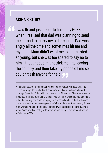## **Aisha's story**

I was 15 and just about to finish my GCSEs when I realised that dad was planning to send me abroad to marry my older cousin. Dad was angry all the time and sometimes hit me and my mum. Mum didn't want me to get married so young, but she was too scared to say no to him. I thought dad might trick me into leaving the country and then take my phone off me so I couldn't ask anyone for help.

Aisha told a teacher at her school, who called the Forced Marriage Unit. The Forced Marriage Unit worked with children's social care to obtain a Forced Marriage Protection Order, which was served on Aisha's dad. The order prevented the forced marriage from taking place as Aisha's father was unable to take Aisha out of the country and could not apply for a passport on her behalf. Aisha was scared to stay at home so was given a safe foster placement temporarily. Aisha's mum worked with children's social care and was supported in leaving Aisha's father. Aisha now lives safely with her mum and younger brothers and was able to finish her GCSEs.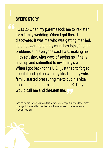## **Syed's story**

I was 25 when my parents took me to Pakistan for a family wedding. When I got there I discovered it was me who was getting married. I did not want to but my mum has lots of health problems and everyone said I was making her ill by refusing. After days of saying no I finally gave up and submitted to my family's will. When I got back to the UK, I just tried to forget about it and get on with my life. Then my wife's family started pressuring me to put in a visa application for her to come to the UK. They would call me and threaten me.

Syed called the Forced Marriage Unit at the earliest opportunity and the Forced Marriage Unit were able to explain how they could assist him as he was a reluctant sponsor.

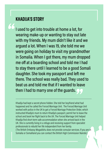### **Khadija's story**

I used to get into trouble at home a lot, for wearing make-up or wanting to stay out late with my friends. My mum didn't like it and we argued a lot. When I was 19, she told me we were going on holiday to visit my grandmother in Somalia. When I got there, my mum dropped me off at a boarding school and told me I had to stay there until I learned to be a good Somali daughter. She took my passport and left me there. The school was really bad. They used to beat us and told me that if I wanted to leave then I had to marry one of the guards.

Khadija had kept a secret phone hidden. She told her boyfriend what had happened and he called the Forced Marriage Unit. The Forced Marriage Unit worked with police in the UK to get a Forced Marriage Protection Order, which instructed Khadija's mum to return Khadija's passport, permit her to leave the school and book her flight back to the UK. The Forced Marriage Unit helped Khadija find short-term safe accommodation when she arrived back in the UK. She is currently living in a refuge and receiving support from specialist professionals to rebuild her life independent from her family. (The British Embassy Mogadishu does not provide consular services. If you are in Somalia or Somaliland you can contact the [British High Commission Nairobi](https://www.gov.uk/world/organisations/british-high-commission-nairobi).)

What is forced marriage? **11**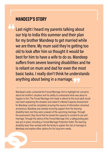# **Mandeep's story**

**12** What is forced marriage?

Last night I heard my parents talking about our trip to India this summer and their plan for my brother Mandeep to get married while we are there. My mum said they're getting too old to look after him so thought it would be best for him to have a wife to do so. Mandeep suffers from severe learning disabilities and he is reliant on mum and dad for even the most basic tasks. I really don't think he understands anything about being in a marriage.

Mandeep's sister contacted the Forced Marriage Unit to highlight her concerns about her brother's situation and his ability to understand what was about to happen to him. The Forced Marriage Unit made a referral to the local adult social care team explaining the situation and asked if a Mental Capacity Assessment for Mandeep could be completed, ensuring the source of information remained anonymous. Mandeep was already receiving support from the learning disability team, but they were unaware of the upcoming marriage. Through the assessment, they found that he lacked the capacity to consent to sex and marriage. Through the advice of the Forced Marriage Unit, a safeguarding plan was put in place, including a Forced Marriage Protection Order. The learning disability team then worked with the family to explain the risk of marriage to Mandeep and explore other options for his long-term needs.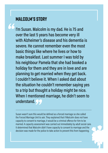# **Malcolm's story**

I'm Susan. Malcolm is my dad. He is 75 and over the last 5 years has become very ill with Alzheimer's disease and his dementia is severe. He cannot remember even the most basic things like where he lives or how to make breakfast. Last summer I was told by his neighbour Pamela that she had booked a holiday for them and they are in love and are planning to get married when they get back. I couldn't believe it. When I asked dad about the situation he couldn't remember saying yes to a trip but thought a holiday might be nice. When I mentioned marriage, he didn't seem to understand.

Susan wasn't sure this would be defined as a forced marriage so she called the Forced Marriage Unit to ask. They explained that if Malcolm does not have capacity to consent to marriage, it would be a criminal offence for him to be married. A capacity assessment was carried out immediately by adult social care. It determined that Malcolm didn't have capacity to consent to marriage and the decision was made for the police to take action to prevent this from happening.

What is forced marriage? **13**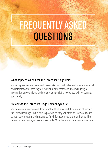# <span id="page-13-0"></span>**FREQUENTLY ASK QUESTIONS**

#### What happens when I call the Forced Marriage Unit?

You will speak to an experienced caseworker who will listen and offer you support and information tailored to your individual circumstances. They will give you information on your rights and the services available to you. We will not contact your family.

#### Are calls to the Forced Marriage Unit anonymous?

You can remain anonymous if you want but this may limit the amount of support the Forced Marriage Unit is able to provide, so they will often ask for details such as your age, location, and nationality. Any information you share with us will be treated in confidence, unless you are under 18 or there is an imminent risk of harm.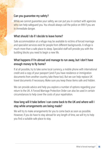### Can you guarantee my safety?

While we cannot guarantee your safety, we can put you in contact with agencies who can help safeguard you. You should always call the police on 999 if you are in immediate danger.

### What should I do if I decide to leave home?

Safe accommodation at a refuge may be available to victims of forced marriage and specialist services exist for people from different backgrounds. A refuge is much more than a safe place to sleep. Specialist staff will provide you with the building blocks you need to begin a new life.

### What happens if I'm abroad and manage to run away, but I don't have enough money to fly home?

If at all possible, try to take some local currency, a mobile phone with international credit and a copy of your passport (and if you have residence or immigration documents from another country, take these too). But we can help replace UK travel documents if necessary. Make sure you keep these items safe and hidden.

We can provide advice and help you explore a number of options regarding your return to the UK. A Forced Marriage Protection Order can also be used in certain circumstances to help cover the costs of your repatriation.

### How long will it take before I can come back to the UK and where will I stay while arrangements are being made?

We will try to make arrangements for you to come back as soon as possible. However, if you do have to stay abroad for any length of time, we will try to help you find a suitable safe place to stay.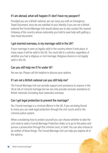### If I am abroad, what will happen if I don't have my passport?

Provided you are a British national, we can issue you with an Emergency Travel Document, once we are satisfied of your identity. If you are not a British national the Forced Marriage Unit would advise you to also contact the nearest Embassy of the country whose nationality you hold to seek help with getting a new travel document.

### I got married overseas, is my marriage valid in the UK?

If your marriage is seen as legally valid in the country where it took place, in many cases it will be valid in the UK. You must talk to a solicitor, regardless of whether you had a religious or civil marriage. Religious divorce is not legally valid in the UK.

### Can you still help me if I'm under 16?

Yes we can. Please call the helpline to discuss your options.

### If I am not a British national can you still help me?

The Forced Marriage Unit can provide support and assistance to anyone in the UK at risk of a forced marriage but we can only provide consular assistance to British nationals (including dual nationals) overseas.

### Can I get legal protection to prevent the marriage?

Yes. Forced marriage is a criminal offence in the UK. If you are being forced to marry you can seek legal protection through the civil courts and/or the criminal justice system.

When considering how to protect yourself you can choose whether to take the civil route to seek a Forced Marriage Protection Order, or to go to the police and pursue a prosecution through the criminal court, or both. You can also choose to do neither of these things. The Forced Marriage Unit can help you explore all of the options.

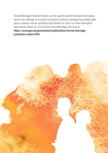Forced Marriage Protection Orders can be used to prevent someone from being forced into marriage or to protect someone if a forced marriage has already taken place. A person may be arrested if they breach an order. For more information about these orders you can call the Forced Marriage Unit or go to **https://www.gov.uk/government/publications/forced-marriageprotection-orders-fl701** 

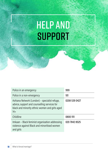# <span id="page-17-0"></span>HELP AND **SUPPORT**

| Police in an emergency                                                                                                                                   | 999           |
|----------------------------------------------------------------------------------------------------------------------------------------------------------|---------------|
| Police in a non-emergency                                                                                                                                | 101           |
| Ashiana Network (London) – specialist refuge,<br>advice, support and counselling services for<br>black and minority ethnic women and girls aged<br>$14+$ | 0208 539 0427 |
| Childline                                                                                                                                                | 0800 1111     |
| Imkaan – Black feminist organisation addressing<br>violence against Black and minoritised women<br>and girls                                             | 020 7842 8525 |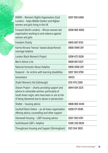| IKWRO - Women's Rights Organisation (East<br>London) - helps Middle Eastern and Afghan<br>women and girls living in the UK                                                                         | 0207 920 6460 |
|----------------------------------------------------------------------------------------------------------------------------------------------------------------------------------------------------|---------------|
| Forward (North London) - African women-led<br>organisation working to end violence against<br>women and girls                                                                                      | 0208 960 4000 |
| Freedom Charity                                                                                                                                                                                    | 0845 607 0133 |
| Karma Nirvana 'honour'-based abuse/forced<br>marriage helpline                                                                                                                                     | 0800 5999 247 |
| London Black Women's Project                                                                                                                                                                       | 0208 472 0528 |
| Men's Advice Line                                                                                                                                                                                  | 0808 801 0327 |
| National Domestic Abuse Helpline                                                                                                                                                                   | 0808 2000 247 |
| Respond - for victims with learning disabilities                                                                                                                                                   | 0207 383 0700 |
| Samaritans                                                                                                                                                                                         | 116123        |
| Shakti Women's Aid (Edinburgh)                                                                                                                                                                     | 0131 475 2399 |
| Sharan Project - charity providing support and<br>advice to vulnerable women, particularly of<br>South Asian origin, who have been or are at risk<br>of being disowned due to abuse or persecution | 0844 504 3231 |
| Shelter - housing advice                                                                                                                                                                           | 0808 800 4444 |
| Southall Black Sisters - an all-Asian organisation<br>offering advice, counselling and other support                                                                                               | 0208 571 9595 |
| Stonewall Housing - LGBT housing advice                                                                                                                                                            | 0207 359 5767 |
| Switchboard LGBT+ helpline                                                                                                                                                                         | 0300 330 0630 |
| Throughcare Housing and Support (Birmingham)                                                                                                                                                       | 0121 554 3920 |